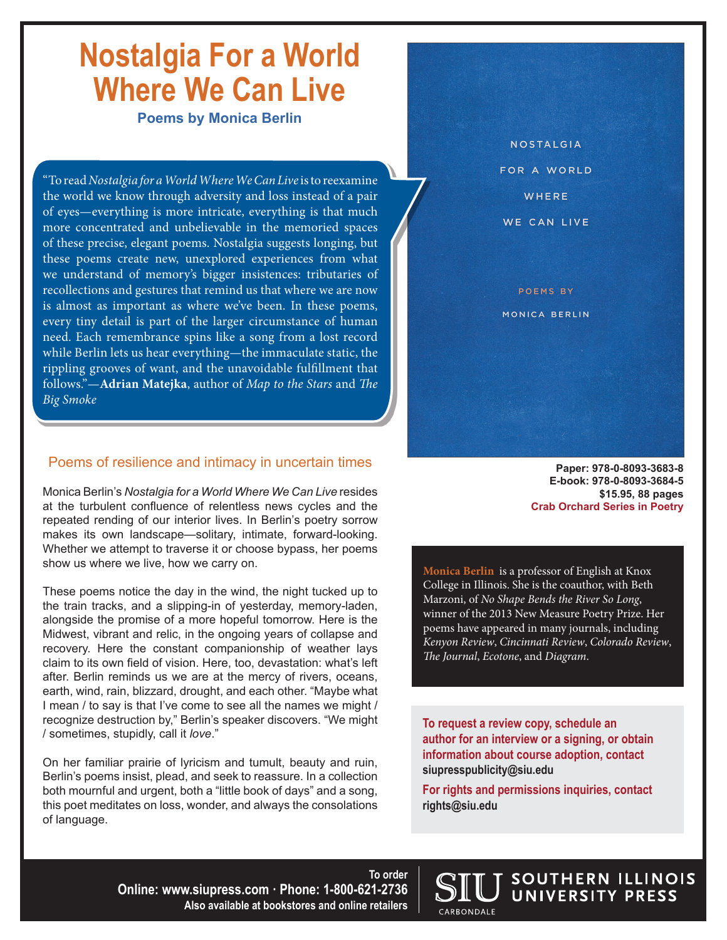## **Nostalgia For a World Where We Can Live**

**Poems by Monica Berlin**

"To read *Nostalgia for a World Where We Can Live* is to reexamine the world we know through adversity and loss instead of a pair of eyes—everything is more intricate, everything is that much more concentrated and unbelievable in the memoried spaces of these precise, elegant poems. Nostalgia suggests longing, but these poems create new, unexplored experiences from what we understand of memory's bigger insistences: tributaries of recollections and gestures that remind us that where we are now is almost as important as where we've been. In these poems, every tiny detail is part of the larger circumstance of human need. Each remembrance spins like a song from a lost record while Berlin lets us hear everything—the immaculate static, the rippling grooves of want, and the unavoidable fulfillment that follows."—**Adrian Matejka**, author of *Map to the Stars* and *The Big Smoke*

#### Poems of resilience and intimacy in uncertain times

Monica Berlin's *Nostalgia for a World Where We Can Live* resides at the turbulent confluence of relentless news cycles and the repeated rending of our interior lives. In Berlin's poetry sorrow makes its own landscape—solitary, intimate, forward-looking. Whether we attempt to traverse it or choose bypass, her poems show us where we live, how we carry on.

These poems notice the day in the wind, the night tucked up to the train tracks, and a slipping-in of yesterday, memory-laden, alongside the promise of a more hopeful tomorrow. Here is the Midwest, vibrant and relic, in the ongoing years of collapse and recovery. Here the constant companionship of weather lays claim to its own field of vision. Here, too, devastation: what's left after. Berlin reminds us we are at the mercy of rivers, oceans, earth, wind, rain, blizzard, drought, and each other. "Maybe what I mean / to say is that I've come to see all the names we might / recognize destruction by," Berlin's speaker discovers. "We might / sometimes, stupidly, call it *love*."

On her familiar prairie of lyricism and tumult, beauty and ruin, Berlin's poems insist, plead, and seek to reassure. In a collection both mournful and urgent, both a "little book of days" and a song, this poet meditates on loss, wonder, and always the consolations of language.

**NOSTALGIA** FOR A WORLD WHERE WE CAN LIVE

**POFMS BY** MONICA BERLIN

> **Paper: 978-0-8093-3683-8 E-book: 978-0-8093-3684-5 \$15.95, 88 pages Crab Orchard Series in Poetry**

**Monica Berlin** is a professor of English at Knox College in Illinois. She is the coauthor, with Beth Marzoni, of *No Shape Bends the River So Long*, winner of the 2013 New Measure Poetry Prize. Her poems have appeared in many journals, including *Kenyon Review*, *Cincinnati Review*, *Colorado Review*, *The Journal*, *Ecotone*, and *Diagram*.

**To request a review copy, schedule an author for an interview or a signing, or obtain information about course adoption, contact siupresspublicity@siu.edu**

**For rights and permissions inquiries, contact rights@siu.edu**

CARBONDALE

SOUTHERN ILLINOIS UNIVERSITY PRESS

**To order Online: www.siupress.com · Phone: 1-800-621-2736 Also available at bookstores and online retailers**